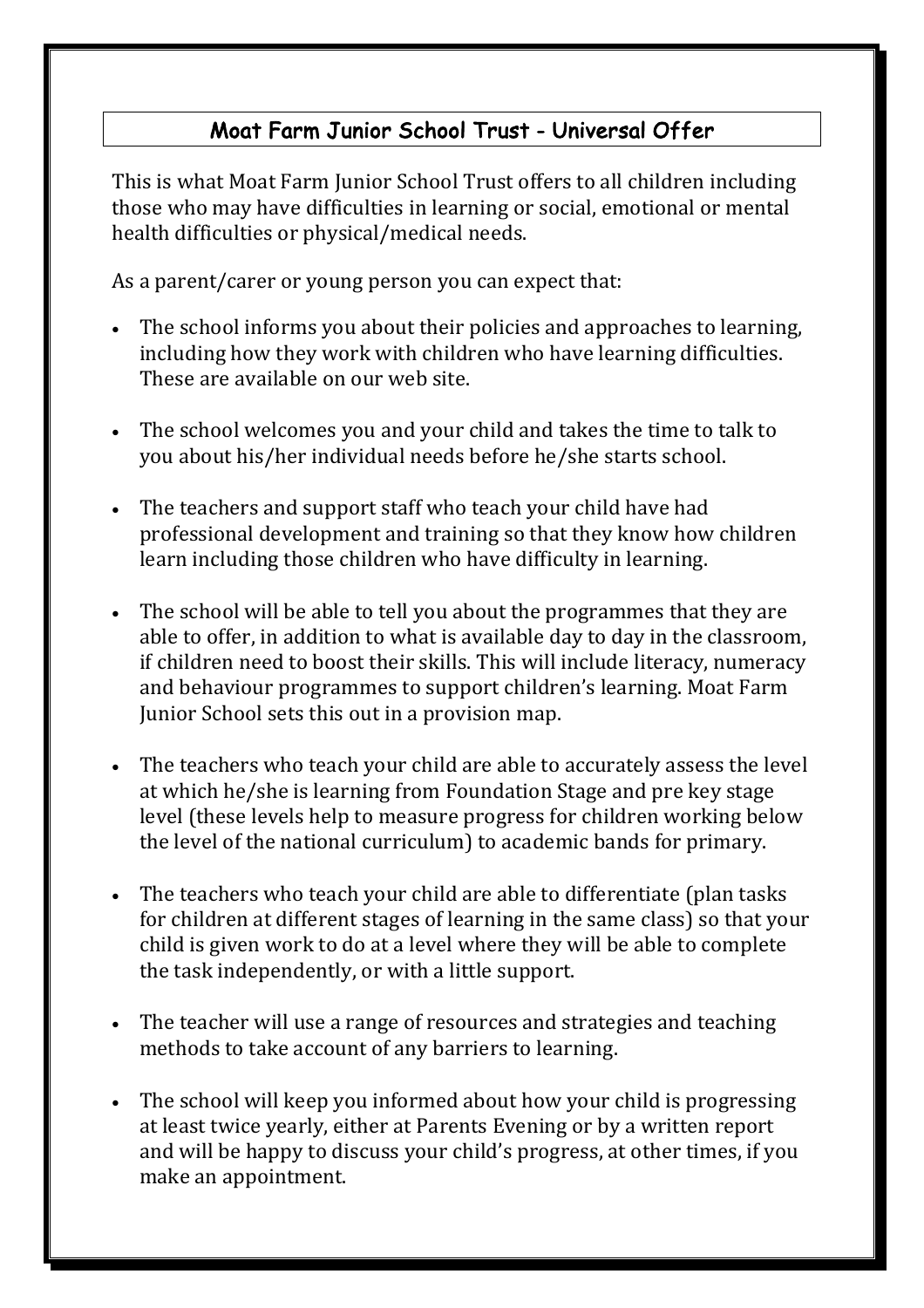## Moat Farm Junior School Trust - Universal Offer

This is what Moat Farm Junior School Trust offers to all children including those who may have difficulties in learning or social, emotional or mental health difficulties or physical/medical needs.

As a parent/carer or young person you can expect that:

- The school informs you about their policies and approaches to learning, including how they work with children who have learning difficulties. These are available on our web site.
- The school welcomes you and your child and takes the time to talk to you about his/her individual needs before he/she starts school.
- The teachers and support staff who teach your child have had professional development and training so that they know how children learn including those children who have difficulty in learning.
- The school will be able to tell you about the programmes that they are able to offer, in addition to what is available day to day in the classroom, if children need to boost their skills. This will include literacy, numeracy and behaviour programmes to support children's learning. Moat Farm Junior School sets this out in a provision map.
- The teachers who teach your child are able to accurately assess the level at which he/she is learning from Foundation Stage and pre key stage level (these levels help to measure progress for children working below the level of the national curriculum) to academic bands for primary.
- The teachers who teach your child are able to differentiate (plan tasks) for children at different stages of learning in the same class) so that your child is given work to do at a level where they will be able to complete the task independently, or with a little support.
- The teacher will use a range of resources and strategies and teaching methods to take account of any barriers to learning.
- The school will keep you informed about how your child is progressing at least twice yearly, either at Parents Evening or by a written report and will be happy to discuss your child's progress, at other times, if you make an appointment.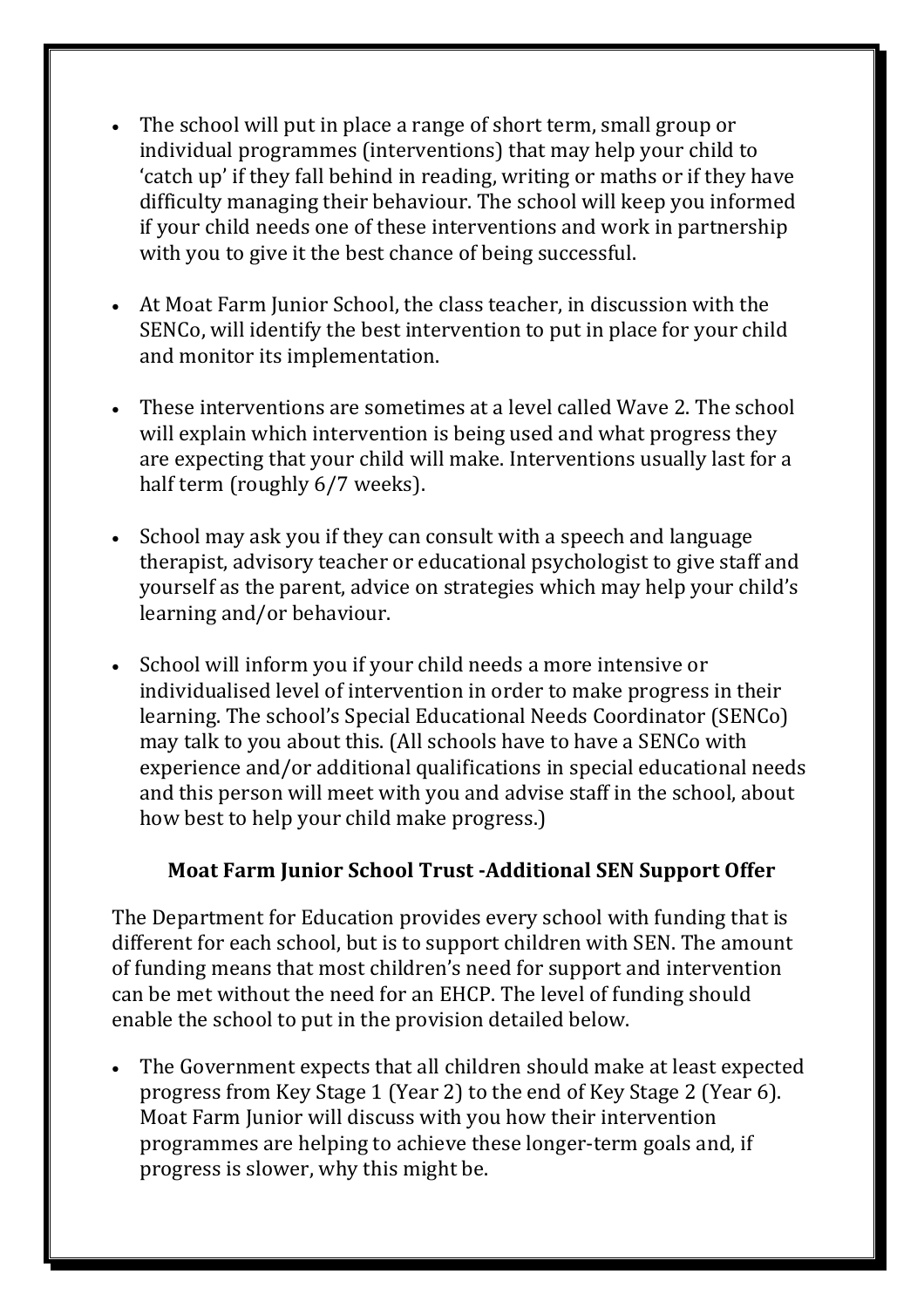- The school will put in place a range of short term, small group or individual programmes (interventions) that may help your child to 'catch up' if they fall behind in reading, writing or maths or if they have difficulty managing their behaviour. The school will keep you informed if your child needs one of these interventions and work in partnership with you to give it the best chance of being successful.
- At Moat Farm Junior School, the class teacher, in discussion with the SENCo, will identify the best intervention to put in place for your child and monitor its implementation.
- These interventions are sometimes at a level called Wave 2. The school will explain which intervention is being used and what progress they are expecting that your child will make. Interventions usually last for a half term (roughly 6/7 weeks).
- School may ask you if they can consult with a speech and language therapist, advisory teacher or educational psychologist to give staff and yourself as the parent, advice on strategies which may help your child's learning and/or behaviour.
- School will inform you if your child needs a more intensive or individualised level of intervention in order to make progress in their learning. The school's Special Educational Needs Coordinator (SENCo) may talk to you about this. (All schools have to have a SENCo with experience and/or additional qualifications in special educational needs and this person will meet with you and advise staff in the school, about how best to help your child make progress.)

## **Moat Farm Junior School Trust -Additional SEN Support Offer**

The Department for Education provides every school with funding that is different for each school, but is to support children with SEN. The amount of funding means that most children's need for support and intervention can be met without the need for an EHCP. The level of funding should enable the school to put in the provision detailed below.

• The Government expects that all children should make at least expected progress from Key Stage 1 (Year 2) to the end of Key Stage 2 (Year 6). Moat Farm Junior will discuss with you how their intervention programmes are helping to achieve these longer-term goals and, if progress is slower, why this might be.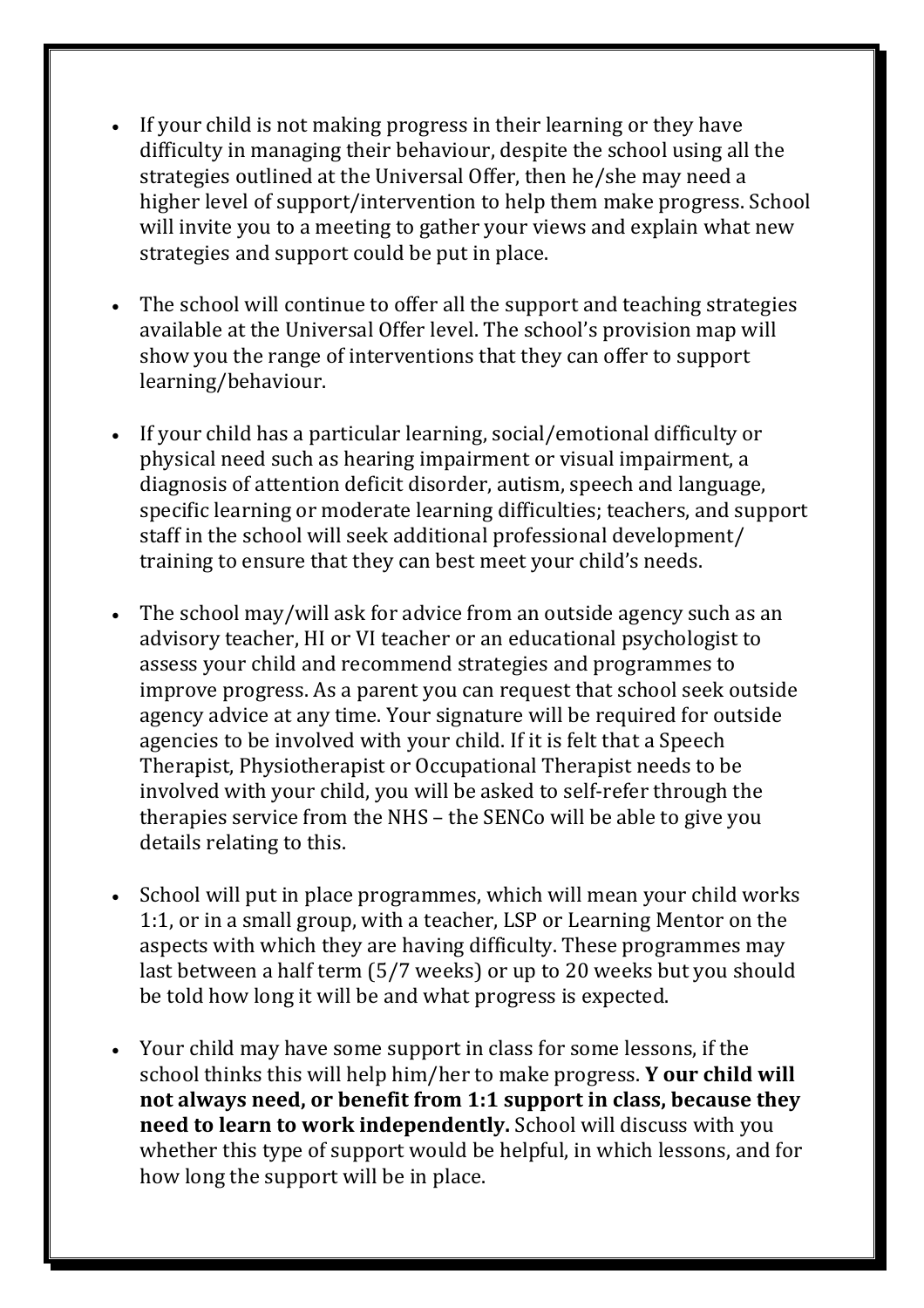- If your child is not making progress in their learning or they have difficulty in managing their behaviour, despite the school using all the strategies outlined at the Universal Offer, then he/she may need a higher level of support/intervention to help them make progress. School will invite you to a meeting to gather your views and explain what new strategies and support could be put in place.
- The school will continue to offer all the support and teaching strategies available at the Universal Offer level. The school's provision map will show you the range of interventions that they can offer to support learning/behaviour.
- If your child has a particular learning, social/emotional difficulty or physical need such as hearing impairment or visual impairment, a diagnosis of attention deficit disorder, autism, speech and language, specific learning or moderate learning difficulties; teachers, and support staff in the school will seek additional professional development/ training to ensure that they can best meet your child's needs.
- The school may/will ask for advice from an outside agency such as an advisory teacher, HI or VI teacher or an educational psychologist to assess your child and recommend strategies and programmes to improve progress. As a parent you can request that school seek outside agency advice at any time. Your signature will be required for outside agencies to be involved with your child. If it is felt that a Speech Therapist, Physiotherapist or Occupational Therapist needs to be involved with your child, you will be asked to self-refer through the therapies service from the NHS – the SENCo will be able to give you details relating to this.
- School will put in place programmes, which will mean your child works 1:1, or in a small group, with a teacher, LSP or Learning Mentor on the aspects with which they are having difficulty. These programmes may last between a half term (5/7 weeks) or up to 20 weeks but you should be told how long it will be and what progress is expected.
- Your child may have some support in class for some lessons, if the school thinks this will help him/her to make progress. **Y** our child will not always need, or benefit from 1:1 support in class, because they **need to learn to work independently.** School will discuss with you whether this type of support would be helpful, in which lessons, and for how long the support will be in place.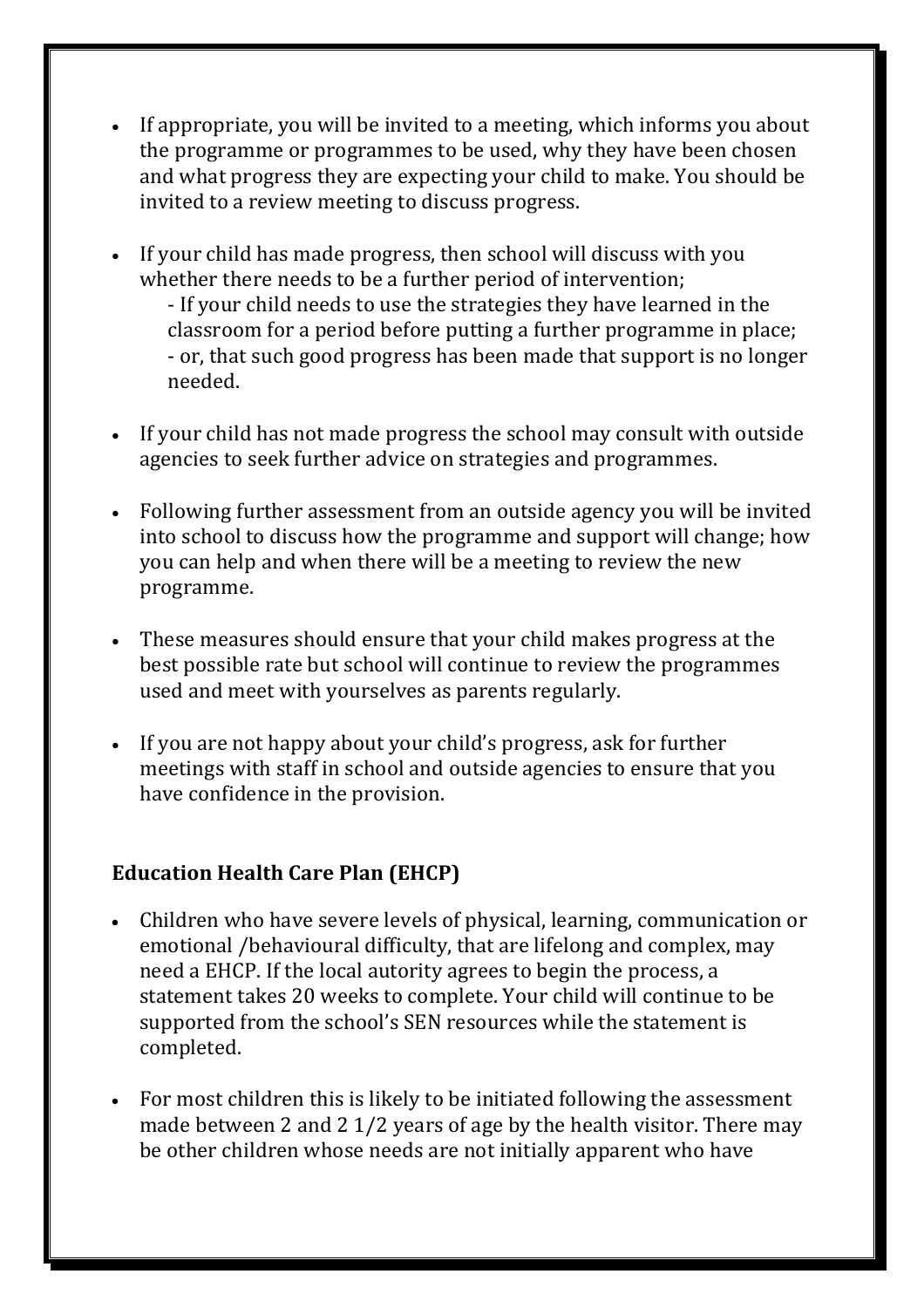- If appropriate, you will be invited to a meeting, which informs you about the programme or programmes to be used, why they have been chosen and what progress they are expecting your child to make. You should be invited to a review meeting to discuss progress.
- If your child has made progress, then school will discuss with you whether there needs to be a further period of intervention;

- If your child needs to use the strategies they have learned in the classroom for a period before putting a further programme in place; - or, that such good progress has been made that support is no longer needed. 

- If your child has not made progress the school may consult with outside agencies to seek further advice on strategies and programmes.
- Following further assessment from an outside agency you will be invited into school to discuss how the programme and support will change; how you can help and when there will be a meeting to review the new programme.
- These measures should ensure that your child makes progress at the best possible rate but school will continue to review the programmes used and meet with yourselves as parents regularly.
- If you are not happy about your child's progress, ask for further meetings with staff in school and outside agencies to ensure that you have confidence in the provision.

## **Education Health Care Plan (EHCP)**

- Children who have severe levels of physical, learning, communication or emotional /behavioural difficulty, that are lifelong and complex, may need a EHCP. If the local autority agrees to begin the process, a statement takes 20 weeks to complete. Your child will continue to be supported from the school's SEN resources while the statement is completed.
- For most children this is likely to be initiated following the assessment made between 2 and 2  $1/2$  years of age by the health visitor. There may be other children whose needs are not initially apparent who have